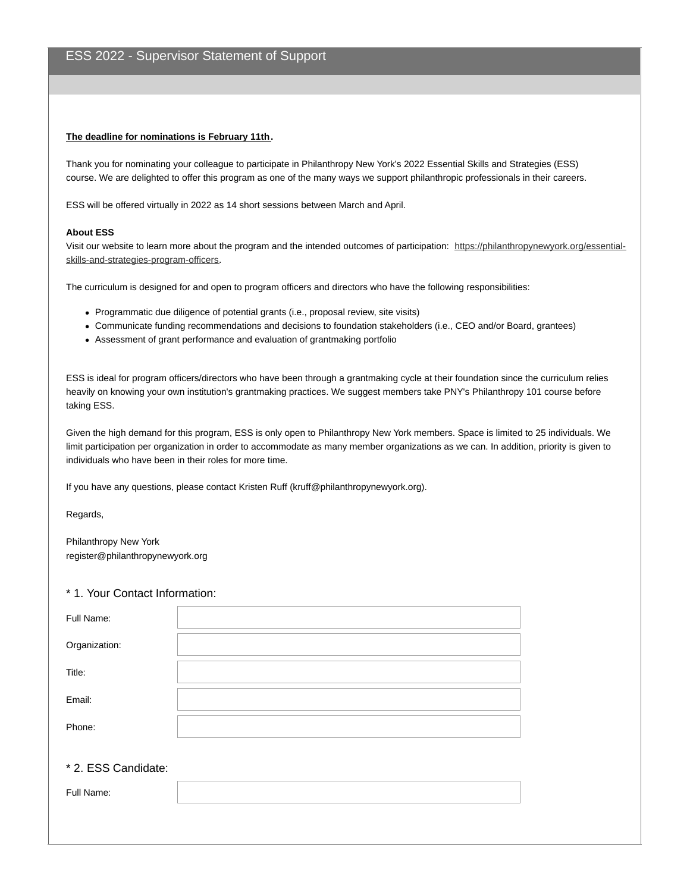## **The deadline for nominations is February 11th.**

Thank you for nominating your colleague to participate in Philanthropy New York's 2022 Essential Skills and Strategies (ESS) course. We are delighted to offer this program as one of the many ways we support philanthropic professionals in their careers.

ESS will be offered virtually in 2022 as 14 short sessions between March and April.

## **About ESS**

Visit our website to learn more about the program and the intended outcomes of participation: [https://philanthropynewyork.org/essential](https://philanthropynewyork.org/essential-skills-and-strategies-program-officers)skills-and-strategies-program-officers.

The curriculum is designed for and open to program officers and directors who have the following responsibilities:

- Programmatic due diligence of potential grants (i.e., proposal review, site visits)
- Communicate funding recommendations and decisions to foundation stakeholders (i.e., CEO and/or Board, grantees)
- Assessment of grant performance and evaluation of grantmaking portfolio

ESS is ideal for program officers/directors who have been through a grantmaking cycle at their foundation since the curriculum relies heavily on knowing your own institution's grantmaking practices. We suggest members take PNY's Philanthropy 101 course before taking ESS.

Given the high demand for this program, ESS is only open to Philanthropy New York members. Space is limited to 25 individuals. We limit participation per organization in order to accommodate as many member organizations as we can. In addition, priority is given to individuals who have been in their roles for more time.

If you have any questions, please contact Kristen Ruff (kruff@philanthropynewyork.org).

Regards,

Philanthropy New York register@philanthropynewyork.org

## \* 1. Your Contact Information:

| Full Name:    |  |
|---------------|--|
| Organization: |  |
| Title:        |  |
| Email:        |  |
| Phone:        |  |

## \* 2. ESS Candidate:

| E ol<br>-un<br>ue. |  |
|--------------------|--|
|                    |  |